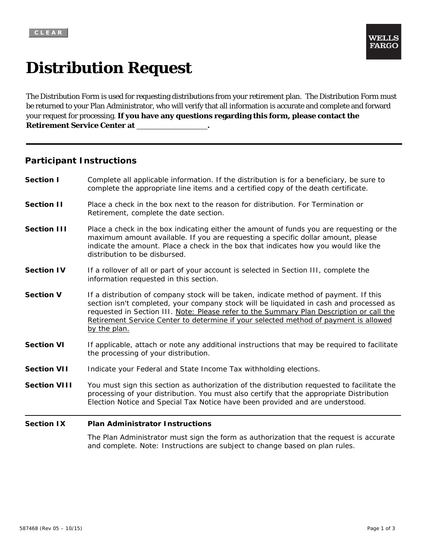# **Distribution Request**

The Distribution Form is used for requesting distributions from your retirement plan. The Distribution Form must be returned to your Plan Administrator, who will verify that all information is accurate and complete and forward your request for processing. **If you have any questions regarding this form, please contact the Retirement Service Center at .**

## **Participant Instructions**

| <b>Section I</b>   | Complete all applicable information. If the distribution is for a beneficiary, be sure to<br>complete the appropriate line items and a certified copy of the death certificate.                                                                                                                      |
|--------------------|------------------------------------------------------------------------------------------------------------------------------------------------------------------------------------------------------------------------------------------------------------------------------------------------------|
| <b>Section II</b>  | Place a check in the box next to the reason for distribution. For Termination or<br>Retirement, complete the date section.                                                                                                                                                                           |
| <b>Section III</b> | Place a check in the box indicating either the amount of funds you are requesting or the<br>maximum amount available. If you are requesting a specific dollar amount, please<br>indicate the amount. Place a check in the box that indicates how you would like the<br>distribution to be disbursed. |

- **Section IV** If a rollover of all or part of your account is selected in Section III, complete the information requested in this section.
- **Section V** If a distribution of company stock will be taken, indicate method of payment. If this section isn't completed, your company stock will be liquidated in cash and processed as requested in Section III. Note: Please refer to the Summary Plan Description or call the Retirement Service Center to determine if your selected method of payment is allowed by the plan.
- **Section VI** If applicable, attach or note any additional instructions that may be required to facilitate the processing of your distribution.
- **Section VII** Indicate your Federal and State Income Tax withholding elections.
- **Section VIII** You must sign this section as authorization of the distribution requested to facilitate the processing of your distribution. You must also certify that the appropriate Distribution Election Notice and Special Tax Notice have been provided and are understood.

### **Section IX Plan Administrator Instructions**

The Plan Administrator must sign the form as authorization that the request is accurate and complete. Note: Instructions are subject to change based on plan rules.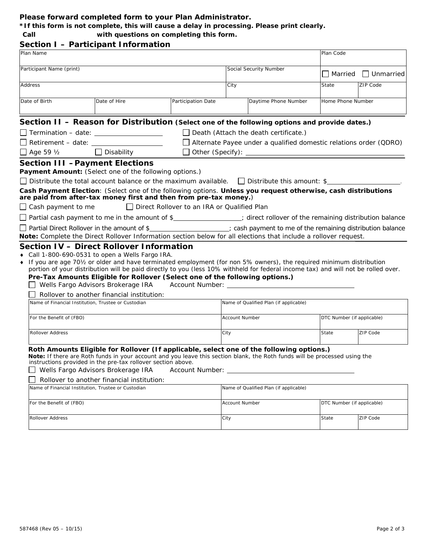### **Please forward completed form to your Plan Administrator.**

**\*If this form is not complete, this will cause a delay in processing. Please print clearly.** 

 **Call with questions on completing this form.** 

|                |                                                                                                                                                                                                                                                                                                                                                                                                                                                                                                                        | Section I - Participant Information                                                                                                                                                |                                               |                                                                   |                                                     |                            |                  |  |
|----------------|------------------------------------------------------------------------------------------------------------------------------------------------------------------------------------------------------------------------------------------------------------------------------------------------------------------------------------------------------------------------------------------------------------------------------------------------------------------------------------------------------------------------|------------------------------------------------------------------------------------------------------------------------------------------------------------------------------------|-----------------------------------------------|-------------------------------------------------------------------|-----------------------------------------------------|----------------------------|------------------|--|
| Plan Name      |                                                                                                                                                                                                                                                                                                                                                                                                                                                                                                                        |                                                                                                                                                                                    |                                               |                                                                   |                                                     | Plan Code                  |                  |  |
|                | Participant Name (print)                                                                                                                                                                                                                                                                                                                                                                                                                                                                                               |                                                                                                                                                                                    |                                               |                                                                   | Social Security Number                              |                            |                  |  |
|                |                                                                                                                                                                                                                                                                                                                                                                                                                                                                                                                        |                                                                                                                                                                                    |                                               |                                                                   |                                                     | $\Box$ Married             | $\Box$ Unmarried |  |
| <b>Address</b> |                                                                                                                                                                                                                                                                                                                                                                                                                                                                                                                        |                                                                                                                                                                                    | City                                          |                                                                   |                                                     | ZIP Code                   |                  |  |
| Date of Birth  |                                                                                                                                                                                                                                                                                                                                                                                                                                                                                                                        | Date of Hire                                                                                                                                                                       | Participation Date                            |                                                                   | Daytime Phone Number                                | Home Phone Number          |                  |  |
|                |                                                                                                                                                                                                                                                                                                                                                                                                                                                                                                                        |                                                                                                                                                                                    |                                               |                                                                   |                                                     |                            |                  |  |
|                |                                                                                                                                                                                                                                                                                                                                                                                                                                                                                                                        | Section II - Reason for Distribution (Select one of the following options and provide dates.)                                                                                      |                                               |                                                                   |                                                     |                            |                  |  |
|                |                                                                                                                                                                                                                                                                                                                                                                                                                                                                                                                        | $\Box$ Termination – date: $\_\_\_\_\_\_\_\_\_\_\_\_\_\_\_\_\_\_\_\_\_\_$                                                                                                          |                                               |                                                                   | $\Box$ Death (Attach the death certificate.)        |                            |                  |  |
|                |                                                                                                                                                                                                                                                                                                                                                                                                                                                                                                                        | $\Box$ Retirement - date: $\Box$                                                                                                                                                   |                                               | Alternate Payee under a qualified domestic relations order (QDRO) |                                                     |                            |                  |  |
|                | $\Box$ Age 59 $\frac{1}{2}$                                                                                                                                                                                                                                                                                                                                                                                                                                                                                            | $\Box$ Disability                                                                                                                                                                  |                                               |                                                                   |                                                     |                            |                  |  |
|                |                                                                                                                                                                                                                                                                                                                                                                                                                                                                                                                        | <b>Section III - Payment Elections</b>                                                                                                                                             |                                               |                                                                   |                                                     |                            |                  |  |
|                |                                                                                                                                                                                                                                                                                                                                                                                                                                                                                                                        | Payment Amount: (Select one of the following options.)                                                                                                                             |                                               |                                                                   |                                                     |                            |                  |  |
|                | $\Box$ Distribute the total account balance or the maximum available. $\Box$ Distribute this amount: \$                                                                                                                                                                                                                                                                                                                                                                                                                |                                                                                                                                                                                    |                                               |                                                                   |                                                     |                            |                  |  |
|                |                                                                                                                                                                                                                                                                                                                                                                                                                                                                                                                        | Cash Payment Election: (Select one of the following options. Unless you request otherwise, cash distributions<br>are paid from after-tax money first and then from pre-tax money.) |                                               |                                                                   |                                                     |                            |                  |  |
|                | $\Box$ Cash payment to me                                                                                                                                                                                                                                                                                                                                                                                                                                                                                              |                                                                                                                                                                                    | □ Direct Rollover to an IRA or Qualified Plan |                                                                   |                                                     |                            |                  |  |
|                |                                                                                                                                                                                                                                                                                                                                                                                                                                                                                                                        | □ Partial cash payment to me in the amount of \$<br>2. clirect rollover of the remaining distribution balance                                                                      |                                               |                                                                   |                                                     |                            |                  |  |
|                |                                                                                                                                                                                                                                                                                                                                                                                                                                                                                                                        | □ Partial Direct Rollover in the amount of \$<br>2 cash payment to me of the remaining distribution balance                                                                        |                                               |                                                                   |                                                     |                            |                  |  |
|                |                                                                                                                                                                                                                                                                                                                                                                                                                                                                                                                        | Note: Complete the Direct Rollover Information section below for all elections that include a rollover request.                                                                    |                                               |                                                                   |                                                     |                            |                  |  |
|                | Section IV - Direct Rollover Information<br>Call 1-800-690-0531 to open a Wells Fargo IRA.<br>If you are age 70½ or older and have terminated employment (for non 5% owners), the required minimum distribution<br>portion of your distribution will be paid directly to you (less 10% withheld for federal income tax) and will not be rolled over.<br>Pre-Tax Amounts Eligible for Rollover (Select one of the following options.)<br>Wells Fargo Advisors Brokerage IRA<br>Account Number: National Account Number: |                                                                                                                                                                                    |                                               |                                                                   |                                                     |                            |                  |  |
|                | Rollover to another financial institution:<br>Name of Financial Institution, Trustee or Custodian<br>Name of Qualified Plan (if applicable)                                                                                                                                                                                                                                                                                                                                                                            |                                                                                                                                                                                    |                                               |                                                                   |                                                     |                            |                  |  |
|                |                                                                                                                                                                                                                                                                                                                                                                                                                                                                                                                        |                                                                                                                                                                                    |                                               |                                                                   |                                                     |                            |                  |  |
|                | For the Benefit of (FBO)                                                                                                                                                                                                                                                                                                                                                                                                                                                                                               |                                                                                                                                                                                    |                                               | <b>Account Number</b>                                             |                                                     | DTC Number (if applicable) |                  |  |
|                | <b>Rollover Address</b>                                                                                                                                                                                                                                                                                                                                                                                                                                                                                                |                                                                                                                                                                                    |                                               | City                                                              |                                                     | State                      | ZIP Code         |  |
|                | Roth Amounts Eligible for Rollover (If applicable, select one of the following options.)<br>Note: If there are Roth funds in your account and you leave this section blank, the Roth funds will be processed using the<br>instructions provided in the pre-tax rollover section above.<br>Wells Fargo Advisors Brokerage IRA<br>Rollover to another financial institution:<br>Name of Financial Institution, Trustee or Custodian<br>Name of Qualified Plan (if applicable)                                            |                                                                                                                                                                                    |                                               |                                                                   |                                                     |                            |                  |  |
|                |                                                                                                                                                                                                                                                                                                                                                                                                                                                                                                                        |                                                                                                                                                                                    |                                               |                                                                   |                                                     |                            |                  |  |
|                | For the Benefit of (FBO)                                                                                                                                                                                                                                                                                                                                                                                                                                                                                               |                                                                                                                                                                                    |                                               |                                                                   | DTC Number (if applicable)<br><b>Account Number</b> |                            |                  |  |
|                | Rollover Address                                                                                                                                                                                                                                                                                                                                                                                                                                                                                                       |                                                                                                                                                                                    |                                               | City                                                              |                                                     | State                      | <b>ZIP Code</b>  |  |